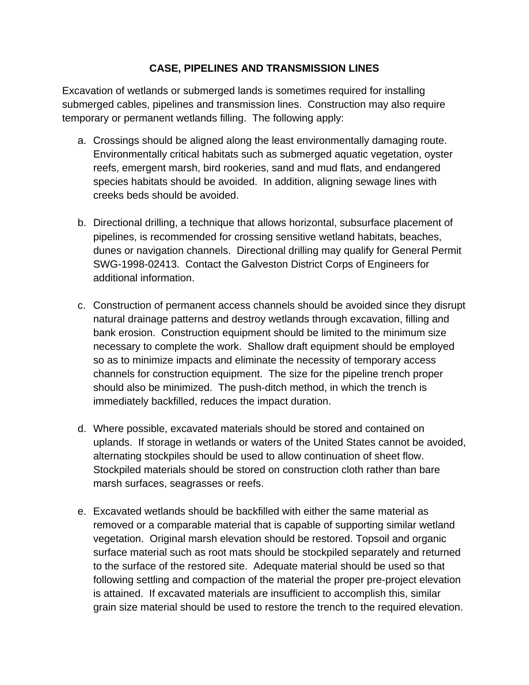## **CASE, PIPELINES AND TRANSMISSION LINES**

Excavation of wetlands or submerged lands is sometimes required for installing submerged cables, pipelines and transmission lines. Construction may also require temporary or permanent wetlands filling. The following apply:

- a. Crossings should be aligned along the least environmentally damaging route. Environmentally critical habitats such as submerged aquatic vegetation, oyster reefs, emergent marsh, bird rookeries, sand and mud flats, and endangered species habitats should be avoided. In addition, aligning sewage lines with creeks beds should be avoided.
- b. Directional drilling, a technique that allows horizontal, subsurface placement of pipelines, is recommended for crossing sensitive wetland habitats, beaches, dunes or navigation channels. Directional drilling may qualify for General Permit SWG-1998-02413. Contact the Galveston District Corps of Engineers for additional information.
- c. Construction of permanent access channels should be avoided since they disrupt natural drainage patterns and destroy wetlands through excavation, filling and bank erosion. Construction equipment should be limited to the minimum size necessary to complete the work. Shallow draft equipment should be employed so as to minimize impacts and eliminate the necessity of temporary access channels for construction equipment. The size for the pipeline trench proper should also be minimized. The push-ditch method, in which the trench is immediately backfilled, reduces the impact duration.
- d. Where possible, excavated materials should be stored and contained on uplands. If storage in wetlands or waters of the United States cannot be avoided, alternating stockpiles should be used to allow continuation of sheet flow. Stockpiled materials should be stored on construction cloth rather than bare marsh surfaces, seagrasses or reefs.
- e. Excavated wetlands should be backfilled with either the same material as removed or a comparable material that is capable of supporting similar wetland vegetation. Original marsh elevation should be restored. Topsoil and organic surface material such as root mats should be stockpiled separately and returned to the surface of the restored site. Adequate material should be used so that following settling and compaction of the material the proper pre-project elevation is attained. If excavated materials are insufficient to accomplish this, similar grain size material should be used to restore the trench to the required elevation.